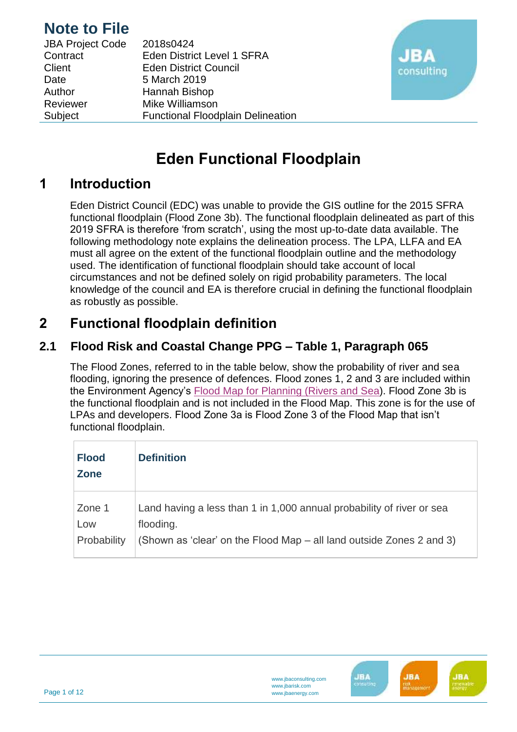| <b>JBA Project Code</b> | 2018s0424                                |
|-------------------------|------------------------------------------|
| Contract                | <b>Eden District Level 1 SFRA</b>        |
| Client                  | <b>Eden District Council</b>             |
| Date                    | 5 March 2019                             |
| Author                  | Hannah Bishop                            |
| Reviewer                | Mike Williamson                          |
| Subject                 | <b>Functional Floodplain Delineation</b> |



# **Eden Functional Floodplain**

## **1 Introduction**

Eden District Council (EDC) was unable to provide the GIS outline for the 2015 SFRA functional floodplain (Flood Zone 3b). The functional floodplain delineated as part of this 2019 SFRA is therefore 'from scratch', using the most up-to-date data available. The following methodology note explains the delineation process. The LPA, LLFA and EA must all agree on the extent of the functional floodplain outline and the methodology used. The identification of functional floodplain should take account of local circumstances and not be defined solely on rigid probability parameters. The local knowledge of the council and EA is therefore crucial in defining the functional floodplain as robustly as possible.

## **2 Functional floodplain definition**

### **2.1 Flood Risk and Coastal Change PPG – Table 1, Paragraph 065**

The Flood Zones, referred to in the table below, show the probability of river and sea flooding, ignoring the presence of defences. Flood zones 1, 2 and 3 are included within the Environment Agency's Flood Map for [Planning \(Rivers and Sea\)](https://flood-map-for-planning.service.gov.uk/). Flood Zone 3b is the functional floodplain and is not included in the Flood Map. This zone is for the use of LPAs and developers. Flood Zone 3a is Flood Zone 3 of the Flood Map that isn't functional floodplain.

| <b>Flood</b><br><b>Zone</b> | <b>Definition</b>                                                                  |
|-----------------------------|------------------------------------------------------------------------------------|
| Zone 1<br>Low               | Land having a less than 1 in 1,000 annual probability of river or sea<br>flooding. |
| Probability                 | (Shown as 'clear' on the Flood Map – all land outside Zones 2 and 3)               |

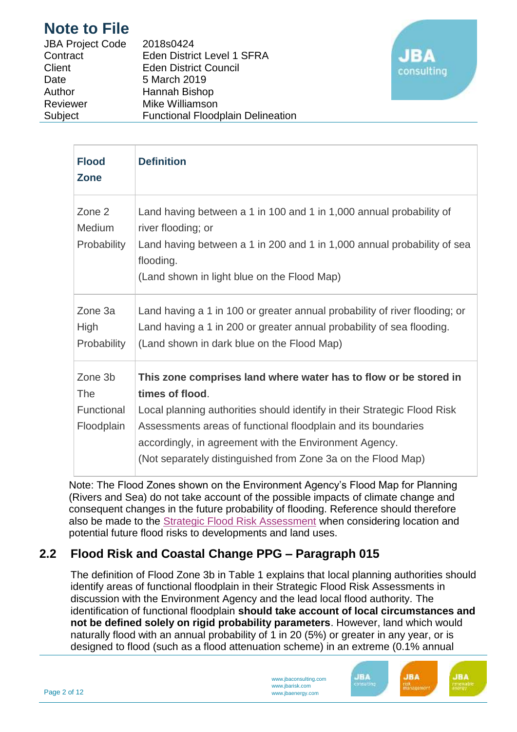| <b>JBA Project Code</b> | 2018s0424                                |
|-------------------------|------------------------------------------|
| Contract                | <b>Eden District Level 1 SFRA</b>        |
| Client                  | <b>Eden District Council</b>             |
| Date                    | 5 March 2019                             |
| Author                  | Hannah Bishop                            |
| Reviewer                | Mike Williamson                          |
| Subject                 | <b>Functional Floodplain Delineation</b> |



| <b>Flood</b><br><b>Zone</b>                | <b>Definition</b>                                                                                                                                                                                                                                                                                                                                          |
|--------------------------------------------|------------------------------------------------------------------------------------------------------------------------------------------------------------------------------------------------------------------------------------------------------------------------------------------------------------------------------------------------------------|
| Zone 2<br><b>Medium</b><br>Probability     | Land having between a 1 in 100 and 1 in 1,000 annual probability of<br>river flooding; or<br>Land having between a 1 in 200 and 1 in 1,000 annual probability of sea<br>flooding.<br>(Land shown in light blue on the Flood Map)                                                                                                                           |
| Zone 3a<br>High<br>Probability             | Land having a 1 in 100 or greater annual probability of river flooding; or<br>Land having a 1 in 200 or greater annual probability of sea flooding.<br>(Land shown in dark blue on the Flood Map)                                                                                                                                                          |
| Zone 3b<br>The<br>Functional<br>Floodplain | This zone comprises land where water has to flow or be stored in<br>times of flood.<br>Local planning authorities should identify in their Strategic Flood Risk<br>Assessments areas of functional floodplain and its boundaries<br>accordingly, in agreement with the Environment Agency.<br>(Not separately distinguished from Zone 3a on the Flood Map) |

Note: The Flood Zones shown on the Environment Agency's Flood Map for Planning (Rivers and Sea) do not take account of the possible impacts of climate change and consequent changes in the future probability of flooding. Reference should therefore also be made to the [Strategic Flood Risk Assessment](http://planningguidance.communities.gov.uk/blog/guidance/flood-risk-and-coastal-change/strategic-flood-risk-assessment/) when considering location and potential future flood risks to developments and land uses.

### **2.2 Flood Risk and Coastal Change PPG – Paragraph 015**

The definition of Flood Zone 3b in Table 1 explains that local planning authorities should identify areas of functional floodplain in their Strategic Flood Risk Assessments in discussion with the Environment Agency and the lead local flood authority. The identification of functional floodplain **should take account of local circumstances and not be defined solely on rigid probability parameters**. However, land which would naturally flood with an annual probability of 1 in 20 (5%) or greater in any year, or is designed to flood (such as a flood attenuation scheme) in an extreme (0.1% annual

**JBA** 

.<br>IV iliz

**JBA** 

**JBA** 

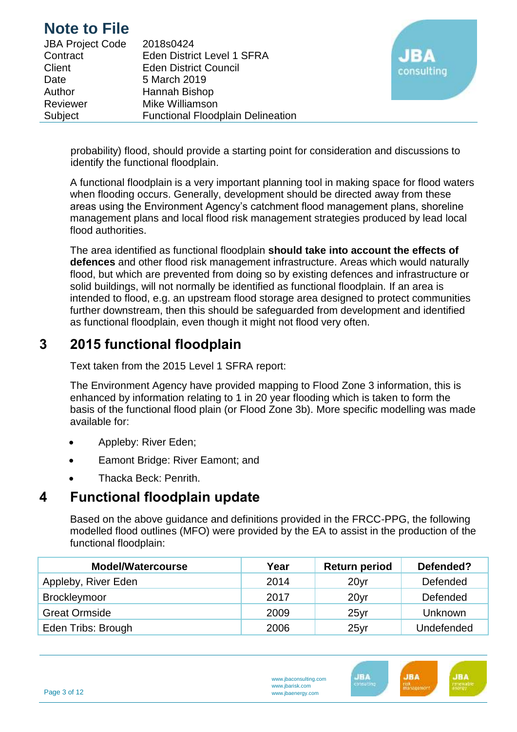| <b>JBA Project Code</b> | 2018s0424                                |
|-------------------------|------------------------------------------|
| Contract                | Eden District Level 1 SFRA               |
| Client                  | <b>Eden District Council</b>             |
| Date                    | 5 March 2019                             |
| Author                  | Hannah Bishop                            |
| Reviewer                | Mike Williamson                          |
| Subject                 | <b>Functional Floodplain Delineation</b> |



probability) flood, should provide a starting point for consideration and discussions to identify the functional floodplain.

A functional floodplain is a very important planning tool in making space for flood waters when flooding occurs. Generally, development should be directed away from these areas using the Environment Agency's catchment flood management plans, shoreline management plans and local flood risk management strategies produced by lead local flood authorities.

The area identified as functional floodplain **should take into account the effects of defences** and other flood risk management infrastructure. Areas which would naturally flood, but which are prevented from doing so by existing defences and infrastructure or solid buildings, will not normally be identified as functional floodplain. If an area is intended to flood, e.g. an upstream flood storage area designed to protect communities further downstream, then this should be safeguarded from development and identified as functional floodplain, even though it might not flood very often.

## **3 2015 functional floodplain**

Text taken from the 2015 Level 1 SFRA report:

The Environment Agency have provided mapping to Flood Zone 3 information, this is enhanced by information relating to 1 in 20 year flooding which is taken to form the basis of the functional flood plain (or Flood Zone 3b). More specific modelling was made available for:

- Appleby: River Eden;
- Eamont Bridge: River Eamont; and
- Thacka Beck: Penrith.

### **4 Functional floodplain update**

Based on the above guidance and definitions provided in the FRCC-PPG, the following modelled flood outlines (MFO) were provided by the EA to assist in the production of the functional floodplain:

| <b>Model/Watercourse</b> | Year | <b>Return period</b> | Defended?  |
|--------------------------|------|----------------------|------------|
| Appleby, River Eden      | 2014 | 20yr                 | Defended   |
| Brockleymoor             | 2017 | 20 <sub>yr</sub>     | Defended   |
| <b>Great Ormside</b>     | 2009 | 25 <sub>yr</sub>     | Unknown    |
| Eden Tribs: Brough       | 2006 | 25 <sub>yr</sub>     | Undefended |

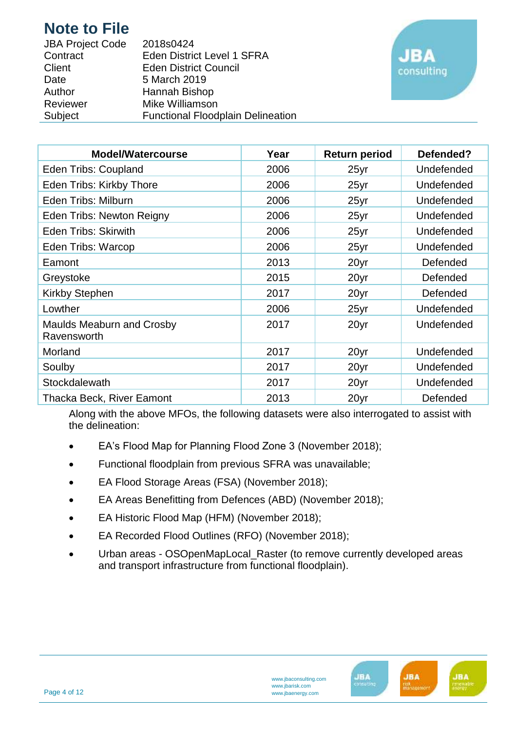| <b>JBA Project Code</b> | 2018s0424                                |
|-------------------------|------------------------------------------|
| Contract                | <b>Eden District Level 1 SFRA</b>        |
| Client                  | <b>Eden District Council</b>             |
| Date                    | 5 March 2019                             |
| Author                  | Hannah Bishop                            |
| Reviewer                | Mike Williamson                          |
| Subject                 | <b>Functional Floodplain Delineation</b> |



| <b>Model/Watercourse</b>                 | Year | <b>Return period</b> | Defended?  |
|------------------------------------------|------|----------------------|------------|
| Eden Tribs: Coupland                     | 2006 | 25yr                 | Undefended |
| Eden Tribs: Kirkby Thore                 | 2006 | 25yr                 | Undefended |
| Eden Tribs: Milburn                      | 2006 | 25yr                 | Undefended |
| Eden Tribs: Newton Reigny                | 2006 | $25$ yr              | Undefended |
| <b>Eden Tribs: Skirwith</b>              | 2006 | 25yr                 | Undefended |
| Eden Tribs: Warcop                       | 2006 | 25yr                 | Undefended |
| Eamont                                   | 2013 | 20yr                 | Defended   |
| Greystoke                                | 2015 | 20yr                 | Defended   |
| Kirkby Stephen                           | 2017 | 20yr                 | Defended   |
| Lowther                                  | 2006 | 25yr                 | Undefended |
| Maulds Meaburn and Crosby<br>Ravensworth | 2017 | 20yr                 | Undefended |
| Morland                                  | 2017 | 20yr                 | Undefended |
| Soulby                                   | 2017 | 20yr                 | Undefended |
| Stockdalewath                            | 2017 | 20yr                 | Undefended |
| <b>Thacka Beck, River Eamont</b>         | 2013 | 20yr                 | Defended   |

Along with the above MFOs, the following datasets were also interrogated to assist with the delineation:

- EA's Flood Map for Planning Flood Zone 3 (November 2018);
- Functional floodplain from previous SFRA was unavailable;
- EA Flood Storage Areas (FSA) (November 2018);
- EA Areas Benefitting from Defences (ABD) (November 2018);
- EA Historic Flood Map (HFM) (November 2018);
- EA Recorded Flood Outlines (RFO) (November 2018);
- Urban areas OSOpenMapLocal\_Raster (to remove currently developed areas and transport infrastructure from functional floodplain).

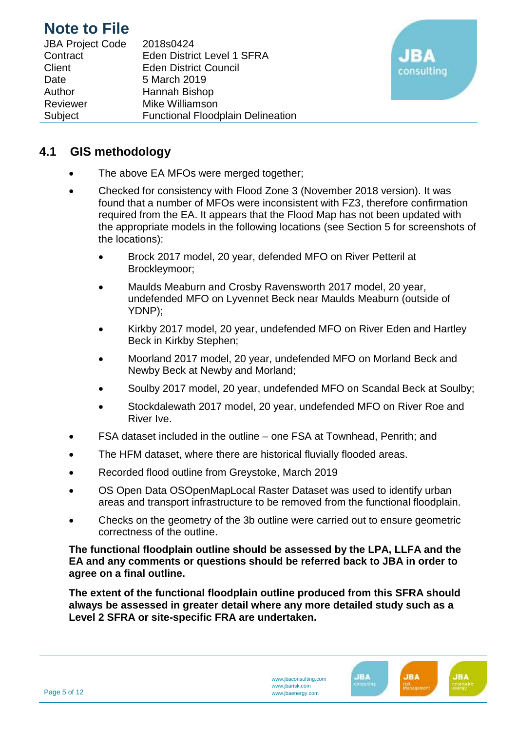| <b>JBA Project Code</b> | 2018s0424                                |
|-------------------------|------------------------------------------|
| Contract                | <b>Eden District Level 1 SFRA</b>        |
| Client                  | <b>Eden District Council</b>             |
| Date                    | 5 March 2019                             |
| Author                  | Hannah Bishop                            |
| Reviewer                | Mike Williamson                          |
| Subject                 | <b>Functional Floodplain Delineation</b> |



#### **4.1 GIS methodology**

- The above EA MFOs were merged together;
- Checked for consistency with Flood Zone 3 (November 2018 version). It was found that a number of MFOs were inconsistent with FZ3, therefore confirmation required from the EA. It appears that the Flood Map has not been updated with the appropriate models in the following locations (see Section 5 for screenshots of the locations):
	- Brock 2017 model, 20 year, defended MFO on River Petteril at Brockleymoor;
	- Maulds Meaburn and Crosby Ravensworth 2017 model, 20 year, undefended MFO on Lyvennet Beck near Maulds Meaburn (outside of YDNP);
	- Kirkby 2017 model, 20 year, undefended MFO on River Eden and Hartley Beck in Kirkby Stephen;
	- Moorland 2017 model, 20 year, undefended MFO on Morland Beck and Newby Beck at Newby and Morland;
	- Soulby 2017 model, 20 year, undefended MFO on Scandal Beck at Soulby;
	- Stockdalewath 2017 model, 20 year, undefended MFO on River Roe and River Ive.
- FSA dataset included in the outline one FSA at Townhead, Penrith; and
- The HFM dataset, where there are historical fluvially flooded areas.
- Recorded flood outline from Greystoke, March 2019
- OS Open Data OSOpenMapLocal Raster Dataset was used to identify urban areas and transport infrastructure to be removed from the functional floodplain.
- Checks on the geometry of the 3b outline were carried out to ensure geometric correctness of the outline.

**The functional floodplain outline should be assessed by the LPA, LLFA and the EA and any comments or questions should be referred back to JBA in order to agree on a final outline.**

**The extent of the functional floodplain outline produced from this SFRA should always be assessed in greater detail where any more detailed study such as a Level 2 SFRA or site-specific FRA are undertaken.**



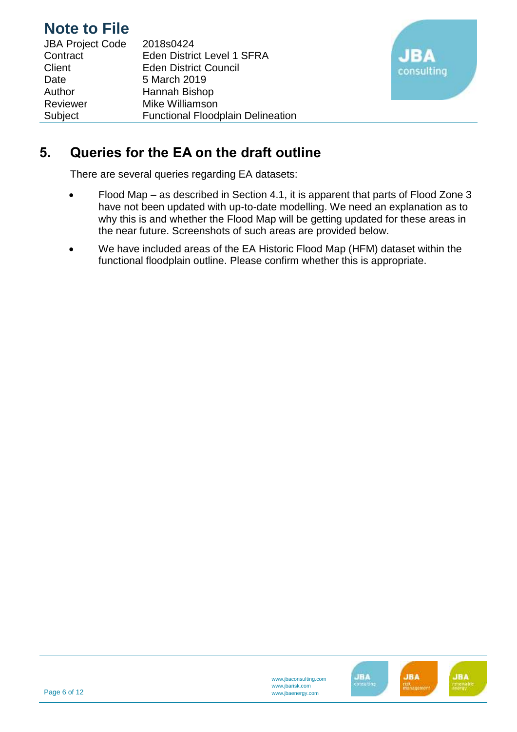| <b>JBA Project Code</b> | 2018s0424                                |
|-------------------------|------------------------------------------|
| Contract                | Eden District Level 1 SFRA               |
| Client                  | <b>Eden District Council</b>             |
| Date                    | 5 March 2019                             |
| Author                  | Hannah Bishop                            |
| Reviewer                | Mike Williamson                          |
| Subject                 | <b>Functional Floodplain Delineation</b> |



## **5. Queries for the EA on the draft outline**

There are several queries regarding EA datasets:

- Flood Map as described in Section 4.1, it is apparent that parts of Flood Zone 3 have not been updated with up-to-date modelling. We need an explanation as to why this is and whether the Flood Map will be getting updated for these areas in the near future. Screenshots of such areas are provided below.
- We have included areas of the EA Historic Flood Map (HFM) dataset within the functional floodplain outline. Please confirm whether this is appropriate.

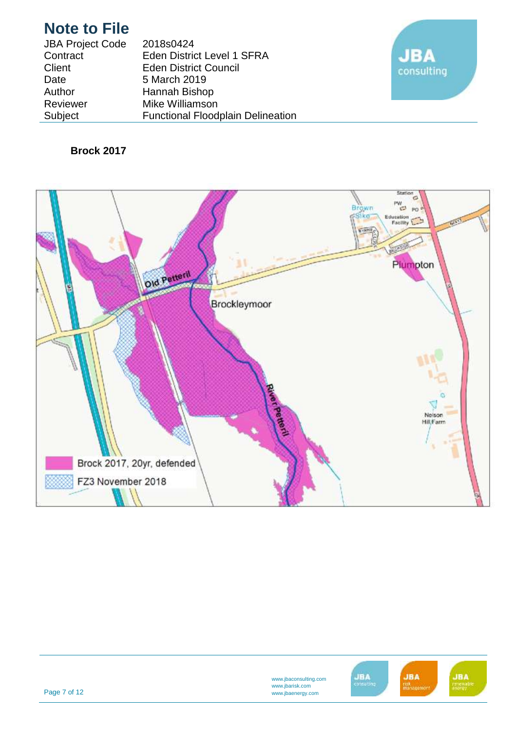| <b>JBA Project Code</b> | 2018s0424                                |
|-------------------------|------------------------------------------|
| Contract                | Eden District Level 1 SFRA               |
| Client                  | <b>Eden District Council</b>             |
| Date                    | 5 March 2019                             |
| Author                  | Hannah Bishop                            |
| Reviewer                | Mike Williamson                          |
| Subject                 | <b>Functional Floodplain Delineation</b> |



#### **Brock 2017**



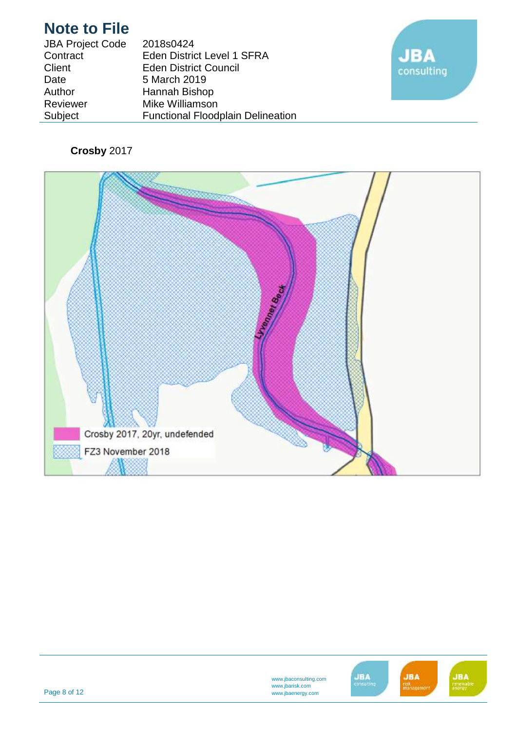| <b>JBA Project Code</b> | 2018s0424                                |
|-------------------------|------------------------------------------|
| Contract                | Eden District Level 1 SFRA               |
| Client                  | <b>Eden District Council</b>             |
| Date                    | 5 March 2019                             |
| Author                  | Hannah Bishop                            |
| Reviewer                | Mike Williamson                          |
| Subject                 | <b>Functional Floodplain Delineation</b> |



### **Crosby** 2017



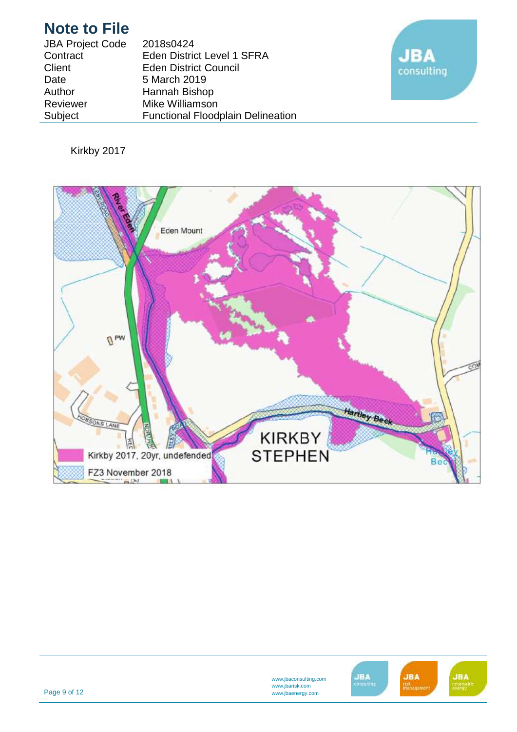| <b>JBA Project Code</b> | 2018s0424                                |
|-------------------------|------------------------------------------|
| Contract                | <b>Eden District Level 1 SFRA</b>        |
| Client                  | <b>Eden District Council</b>             |
| Date                    | 5 March 2019                             |
| Author                  | Hannah Bishop                            |
| Reviewer                | Mike Williamson                          |
| Subject                 | <b>Functional Floodplain Delineation</b> |



### Kirkby 2017



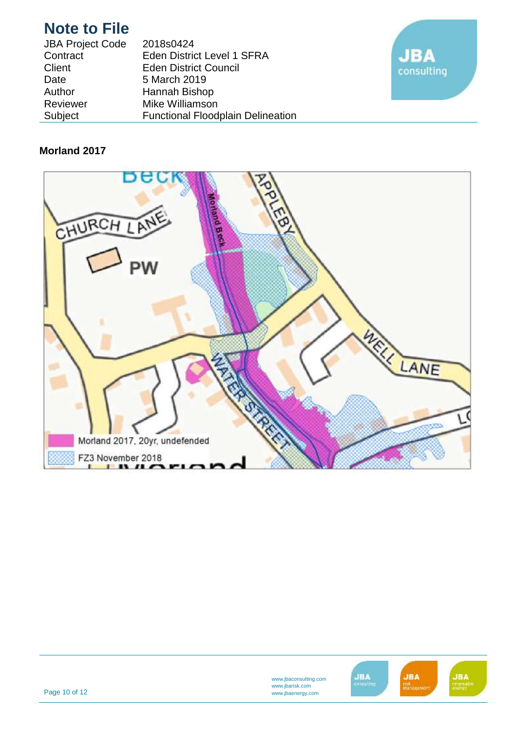| <b>JBA Project Code</b> | 2018s0424                                |
|-------------------------|------------------------------------------|
| Contract                | <b>Eden District Level 1 SFRA</b>        |
| Client                  | <b>Eden District Council</b>             |
| Date                    | 5 March 2019                             |
| Author                  | Hannah Bishop                            |
| Reviewer                | Mike Williamson                          |
| Subject                 | <b>Functional Floodplain Delineation</b> |

![](_page_9_Picture_2.jpeg)

#### **Morland 2017**

![](_page_9_Picture_4.jpeg)

![](_page_9_Picture_5.jpeg)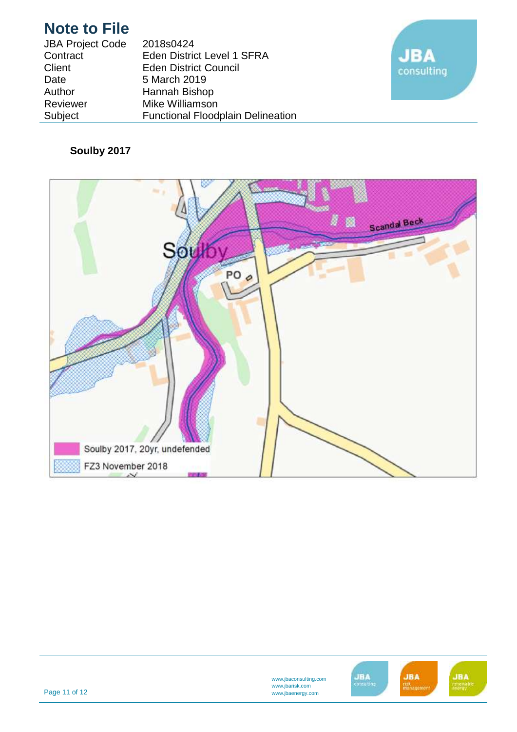| <b>JBA Project Code</b> | 2018s0424                                |
|-------------------------|------------------------------------------|
| Contract                | Eden District Level 1 SFRA               |
| Client                  | <b>Eden District Council</b>             |
| Date                    | 5 March 2019                             |
| Author                  | Hannah Bishop                            |
| Reviewer                | Mike Williamson                          |
| Subject                 | <b>Functional Floodplain Delineation</b> |

![](_page_10_Picture_2.jpeg)

### **Soulby 2017**

![](_page_10_Picture_4.jpeg)

![](_page_10_Picture_5.jpeg)

Page 11 of 12